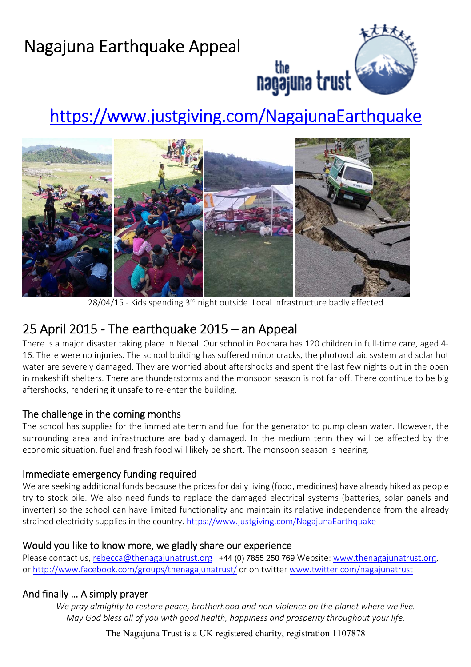## Nagajuna Earthquake Appeal



the **contract of the search of the search of the search of the search of the search of the search of the search of the search of the search of the search of the search of the search of the search of the search of the searc** 

# https://www.justgiving.com/NagajunaEarthquake



28/04/15 - Kids spending 3<sup>rd</sup> night outside. Local infrastructure badly affected

### 25 April 2015 ‐ The earthquake 2015 – an Appeal

There is a major disaster taking place in Nepal. Our school in Pokhara has 120 children in full-time care, aged 4-16. There were no injuries. The school building has suffered minor cracks, the photovoltaic system and solar hot water are severely damaged. They are worried about aftershocks and spent the last few nights out in the open in makeshift shelters. There are thunderstorms and the monsoon season is not far off. There continue to be big aftershocks, rendering it unsafe to re‐enter the building.

### The challenge in the coming months

The school has supplies for the immediate term and fuel for the generator to pump clean water. However, the surrounding area and infrastructure are badly damaged. In the medium term they will be affected by the economic situation, fuel and fresh food will likely be short. The monsoon season is nearing.

### Immediate emergency funding required

We are seeking additional funds because the prices for daily living (food, medicines) have already hiked as people try to stock pile. We also need funds to replace the damaged electrical systems (batteries, solar panels and inverter) so the school can have limited functionality and maintain its relative independence from the already strained electricity supplies in the country. https://www.justgiving.com/NagajunaEarthquake

### Would you like to know more, we gladly share our experience

Please contact us, rebecca@thenagajunatrust.org +44 (0) 7855 250 769 Website: www.thenagajunatrust.org, or http://www.facebook.com/groups/thenagajunatrust/ or on twitter www.twitter.com/nagajunatrust

### And finally … A simply prayer

*We pray almighty to restore peace, brotherhood and non‐violence on the planet where we live. May God bless all of you with good health, happiness and prosperity throughout your life.*